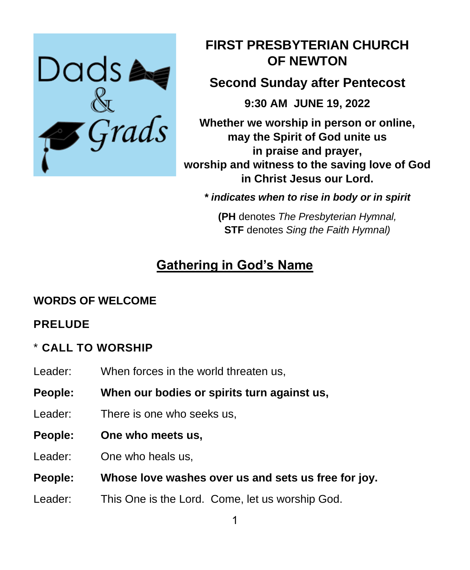

# **FIRST PRESBYTERIAN CHURCH OF NEWTON**

# **Second Sunday after Pentecost**

**9:30 AM JUNE 19, 2022**

**Whether we worship in person or online, may the Spirit of God unite us in praise and prayer, worship and witness to the saving love of God in Christ Jesus our Lord.**

*\* indicates when to rise in body or in spirit*

**(PH** denotes *The Presbyterian Hymnal,*  **STF** denotes *Sing the Faith Hymnal)*

# **Gathering in God's Name**

# **WORDS OF WELCOME**

# **PRELUDE**

# \* **CALL TO WORSHIP**

- Leader: When forces in the world threaten us,
- **People: When our bodies or spirits turn against us,**
- Leader: There is one who seeks us,
- **People: One who meets us,**
- Leader: One who heals us,
- **People: Whose love washes over us and sets us free for joy.**
- Leader: This One is the Lord. Come, let us worship God.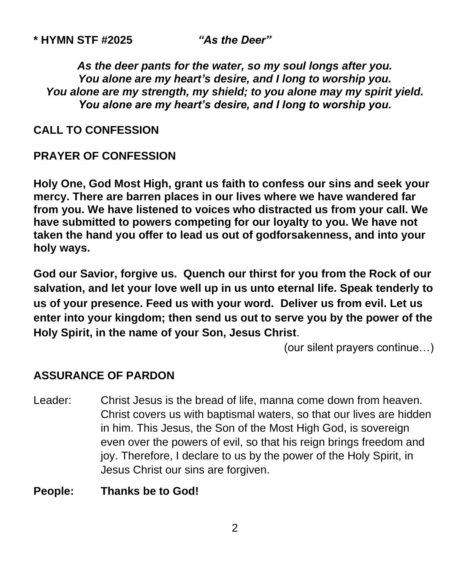*As the deer pants for the water, so my soul longs after you. You alone are my heart's desire, and I long to worship you. You alone are my strength, my shield; to you alone may my spirit yield. You alone are my heart's desire, and I long to worship you.*

**CALL TO CONFESSION** 

#### **PRAYER OF CONFESSION**

**Holy One, God Most High, grant us faith to confess our sins and seek your mercy. There are barren places in our lives where we have wandered far from you. We have listened to voices who distracted us from your call. We have submitted to powers competing for our loyalty to you. We have not taken the hand you offer to lead us out of godforsakenness, and into your holy ways.** 

**God our Savior, forgive us. Quench our thirst for you from the Rock of our salvation, and let your love well up in us unto eternal life. Speak tenderly to us of your presence. Feed us with your word. Deliver us from evil. Let us enter into your kingdom; then send us out to serve you by the power of the Holy Spirit, in the name of your Son, Jesus Christ**.

(our silent prayers continue…)

#### **ASSURANCE OF PARDON**

Leader: Christ Jesus is the bread of life, manna come down from heaven. Christ covers us with baptismal waters, so that our lives are hidden in him. This Jesus, the Son of the Most High God, is sovereign even over the powers of evil, so that his reign brings freedom and joy. Therefore, I declare to us by the power of the Holy Spirit, in Jesus Christ our sins are forgiven.

**People: Thanks be to God!**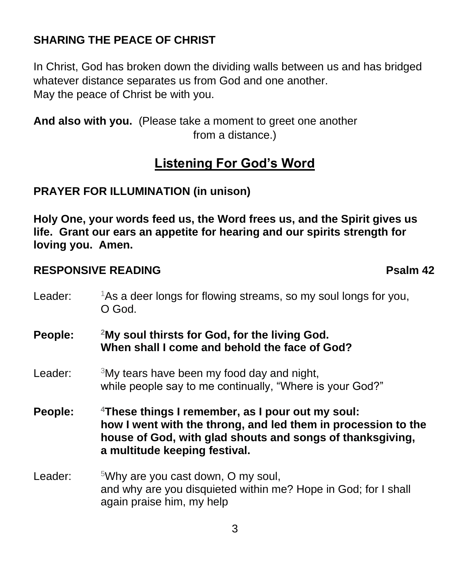# **SHARING THE PEACE OF CHRIST**

In Christ, God has broken down the dividing walls between us and has bridged whatever distance separates us from God and one another. May the peace of Christ be with you.

**And also with you.** (Please take a moment to greet one another from a distance.)

# **Listening For God's Word**

#### **PRAYER FOR ILLUMINATION (in unison)**

**Holy One, your words feed us, the Word frees us, and the Spirit gives us life. Grant our ears an appetite for hearing and our spirits strength for loving you. Amen.**

#### **RESPONSIVE READING PSALM 2** Psalm 42

Leader: <sup>1</sup>As a deer longs for flowing streams, so my soul longs for you, O God. **People: <sup>2</sup>My soul thirsts for God, for the living God. When shall I come and behold the face of God?** Leader:  $3\text{My}$  tears have been my food day and night, while people say to me continually, "Where is your God?" **People: <sup>4</sup>These things I remember, as I pour out my soul: how I went with the throng, and led them in procession to the house of God, with glad shouts and songs of thanksgiving, a multitude keeping festival.** Leader:  $5$ Why are you cast down, O my soul, and why are you disquieted within me? Hope in God; for I shall again praise him, my help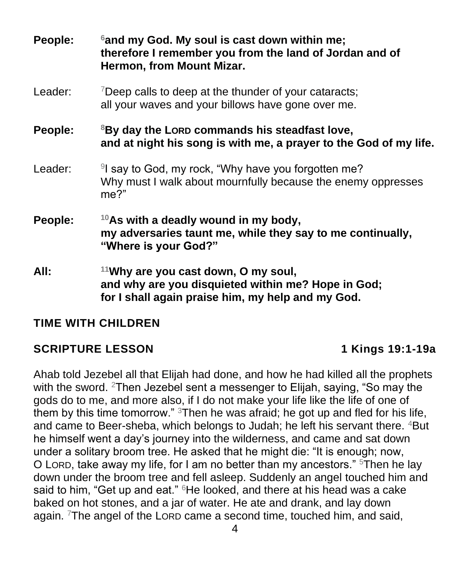| People: | <sup>6</sup> and my God. My soul is cast down within me;<br>therefore I remember you from the land of Jordan and of<br>Hermon, from Mount Mizar.           |
|---------|------------------------------------------------------------------------------------------------------------------------------------------------------------|
| Leader: | $\sqrt{2}$ Deep calls to deep at the thunder of your cataracts;<br>all your waves and your billows have gone over me.                                      |
| People: | <sup>8</sup> By day the Lorp commands his steadfast love,<br>and at night his song is with me, a prayer to the God of my life.                             |
| Leader: | <sup>9</sup> I say to God, my rock, "Why have you forgotten me?<br>Why must I walk about mournfully because the enemy oppresses<br>$me?$ "                 |
| People: | $10$ As with a deadly wound in my body,<br>my adversaries taunt me, while they say to me continually,<br>"Where is your God?"                              |
| All:    | <sup>11</sup> Why are you cast down, O my soul,<br>and why are you disquieted within me? Hope in God;<br>for I shall again praise him, my help and my God. |

#### **TIME WITH CHILDREN**

#### **SCRIPTURE LESSON 1 Kings 19:1-19a**

Ahab told Jezebel all that Elijah had done, and how he had killed all the prophets with the sword. <sup>2</sup>Then Jezebel sent a messenger to Elijah, saying, "So may the gods do to me, and more also, if I do not make your life like the life of one of them by this time tomorrow."  $3$ Then he was afraid; he got up and fled for his life, and came to Beer-sheba, which belongs to Judah; he left his servant there. <sup>4</sup>But he himself went a day's journey into the wilderness, and came and sat down under a solitary broom tree. He asked that he might die: "It is enough; now, O LORD, take away my life, for I am no better than my ancestors." <sup>5</sup>Then he lay down under the broom tree and fell asleep. Suddenly an angel touched him and said to him, "Get up and eat." <sup>6</sup>He looked, and there at his head was a cake baked on hot stones, and a jar of water. He ate and drank, and lay down again. <sup>7</sup>The angel of the LORD came a second time, touched him, and said,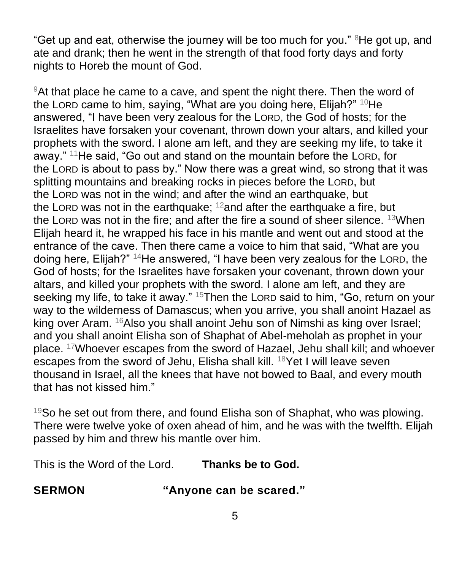"Get up and eat, otherwise the journey will be too much for you."  $8$ He got up, and ate and drank; then he went in the strength of that food forty days and forty nights to Horeb the mount of God.

<sup>9</sup>At that place he came to a cave, and spent the night there. Then the word of the LORD came to him, saying, "What are you doing here, Elijah?" <sup>10</sup>He answered, "I have been very zealous for the LORD, the God of hosts; for the Israelites have forsaken your covenant, thrown down your altars, and killed your prophets with the sword. I alone am left, and they are seeking my life, to take it away." <sup>11</sup>He said, "Go out and stand on the mountain before the LORD, for the LORD is about to pass by." Now there was a great wind, so strong that it was splitting mountains and breaking rocks in pieces before the LORD, but the LORD was not in the wind; and after the wind an earthquake, but the LORD was not in the earthquake;  $12$  and after the earthquake a fire, but the LORD was not in the fire; and after the fire a sound of sheer silence. <sup>13</sup>When Elijah heard it, he wrapped his face in his mantle and went out and stood at the entrance of the cave. Then there came a voice to him that said, "What are you doing here, Elijah?" <sup>14</sup>He answered, "I have been very zealous for the LORD, the God of hosts; for the Israelites have forsaken your covenant, thrown down your altars, and killed your prophets with the sword. I alone am left, and they are seeking my life, to take it away." <sup>15</sup>Then the LORD said to him, "Go, return on your way to the wilderness of Damascus; when you arrive, you shall anoint Hazael as king over Aram. <sup>16</sup>Also you shall anoint Jehu son of Nimshi as king over Israel; and you shall anoint Elisha son of Shaphat of Abel-meholah as prophet in your place. <sup>17</sup>Whoever escapes from the sword of Hazael, Jehu shall kill; and whoever escapes from the sword of Jehu, Elisha shall kill. <sup>18</sup>Yet I will leave seven thousand in Israel, all the knees that have not bowed to Baal, and every mouth that has not kissed him."

 $19$ So he set out from there, and found Elisha son of Shaphat, who was plowing. There were twelve yoke of oxen ahead of him, and he was with the twelfth. Elijah passed by him and threw his mantle over him.

This is the Word of the Lord. **Thanks be to God.**

**SERMON "Anyone can be scared."**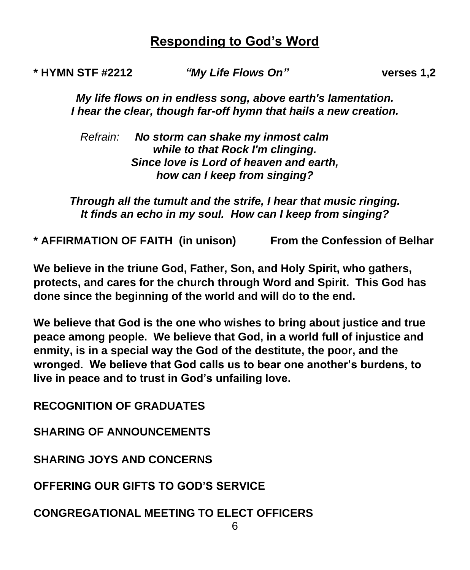# **Responding to God's Word**

**\* HYMN STF #2212** *"My Life Flows On"* **verses 1,2**

*My life flows on in endless song, above earth's lamentation. I hear the clear, though far-off hymn that hails a new creation.*

 *Refrain: No storm can shake my inmost calm while to that Rock I'm clinging. Since love is Lord of heaven and earth, how can I keep from singing?*

*Through all the tumult and the strife, I hear that music ringing. It finds an echo in my soul. How can I keep from singing?*

**\* AFFIRMATION OF FAITH (in unison) From the Confession of Belhar**

**We believe in the triune God, Father, Son, and Holy Spirit, who gathers, protects, and cares for the church through Word and Spirit. This God has done since the beginning of the world and will do to the end.**

**We believe that God is the one who wishes to bring about justice and true peace among people. We believe that God, in a world full of injustice and enmity, is in a special way the God of the destitute, the poor, and the wronged. We believe that God calls us to bear one another's burdens, to live in peace and to trust in God's unfailing love.**

**RECOGNITION OF GRADUATES**

**SHARING OF ANNOUNCEMENTS**

**SHARING JOYS AND CONCERNS**

**OFFERING OUR GIFTS TO GOD'S SERVICE**

**CONGREGATIONAL MEETING TO ELECT OFFICERS**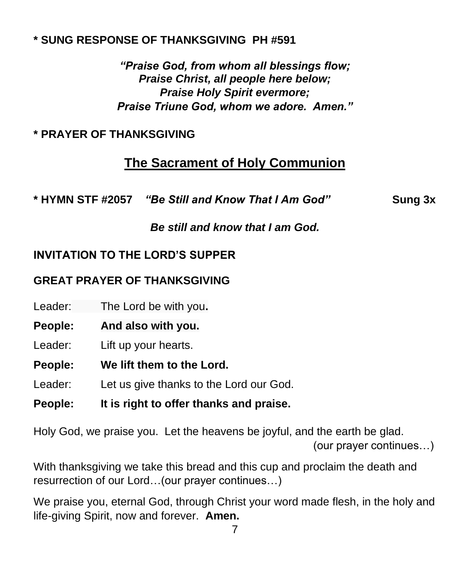#### **\* SUNG RESPONSE OF THANKSGIVING PH #591**

*"Praise God, from whom all blessings flow; Praise Christ, all people here below; Praise Holy Spirit evermore; Praise Triune God, whom we adore. Amen."*

### **\* PRAYER OF THANKSGIVING**

# **The Sacrament of Holy Communion**

**\* HYMN STF #2057** *"Be Still and Know That I Am God"* **Sung 3x**

*Be still and know that I am God.*

#### **INVITATION TO THE LORD'S SUPPER**

#### **GREAT PRAYER OF THANKSGIVING**

- Leader: The Lord be with you**.**
- **People: And also with you.**
- Leader: Lift up your hearts.
- **People: We lift them to the Lord.**
- Leader: Let us give thanks to the Lord our God.
- **People: It is right to offer thanks and praise.**

Holy God, we praise you. Let the heavens be joyful, and the earth be glad.

(our prayer continues…)

With thanksgiving we take this bread and this cup and proclaim the death and resurrection of our Lord…(our prayer continues…)

We praise you, eternal God, through Christ your word made flesh, in the holy and life-giving Spirit, now and forever. **Amen.**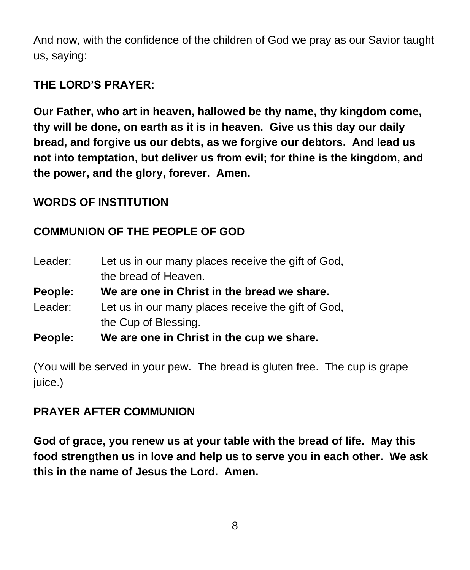And now, with the confidence of the children of God we pray as our Savior taught us, saying:

#### **THE LORD'S PRAYER:**

**Our Father, who art in heaven, hallowed be thy name, thy kingdom come, thy will be done, on earth as it is in heaven. Give us this day our daily bread, and forgive us our debts, as we forgive our debtors. And lead us not into temptation, but deliver us from evil; for thine is the kingdom, and the power, and the glory, forever. Amen.**

# **WORDS OF INSTITUTION**

# **COMMUNION OF THE PEOPLE OF GOD**

| Leader: | Let us in our many places receive the gift of God, |
|---------|----------------------------------------------------|
|         | the bread of Heaven.                               |
| People: | We are one in Christ in the bread we share.        |
| Leader: | Let us in our many places receive the gift of God, |
|         | the Cup of Blessing.                               |

**People: We are one in Christ in the cup we share.**

(You will be served in your pew. The bread is gluten free. The cup is grape juice.)

### **PRAYER AFTER COMMUNION**

**God of grace, you renew us at your table with the bread of life. May this food strengthen us in love and help us to serve you in each other. We ask this in the name of Jesus the Lord. Amen.**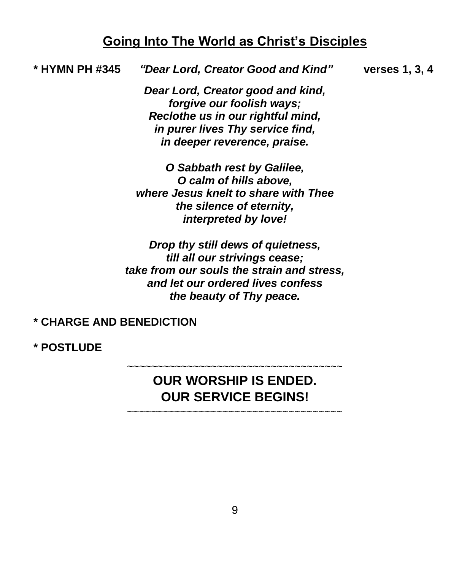#### **Going Into The World as Christ's Disciples**

**\* HYMN PH #345** *"Dear Lord, Creator Good and Kind"* **verses 1, 3, 4**

*Dear Lord, Creator good and kind, forgive our foolish ways; Reclothe us in our rightful mind, in purer lives Thy service find, in deeper reverence, praise.*

*O Sabbath rest by Galilee, O calm of hills above, where Jesus knelt to share with Thee the silence of eternity, interpreted by love!*

*Drop thy still dews of quietness, till all our strivings cease; take from our souls the strain and stress, and let our ordered lives confess the beauty of Thy peace.*

**\* CHARGE AND BENEDICTION** 

**\* POSTLUDE** 

# **OUR WORSHIP IS ENDED. OUR SERVICE BEGINS!**

~~~~~~~~~~~~~~~~~~~~~~~~~~~~~~~~~~~~~

~~~~~~~~~~~~~~~~~~~~~~~~~~~~~~~~~~~~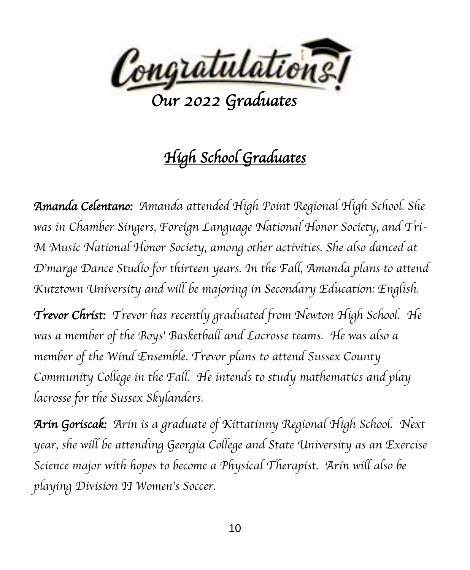

# *High School Graduates*

*Amanda Celentano: Amanda attended High Point Regional High School. She was in Chamber Singers, Foreign Language National Honor Society, and Tri-M Music National Honor Society, among other activities. She also danced at D'marge Dance Studio for thirteen years. In the Fall, Amanda plans to attend Kutztown University and will be majoring in Secondary Education: English.*

*Trevor Christ: Trevor has recently graduated from Newton High School. He was a member of the Boys' Basketball and Lacrosse teams. He was also a member of the Wind Ensemble. Trevor plans to attend Sussex County Community College in the Fall. He intends to study mathematics and play lacrosse for the Sussex Skylanders.*

*Arin Goriscak: Arin is a graduate of Kittatinny Regional High School. Next year, she will be attending Georgia College and State University as an Exercise Science major with hopes to become a Physical Therapist. Arin will also be playing Division II Women's Soccer.*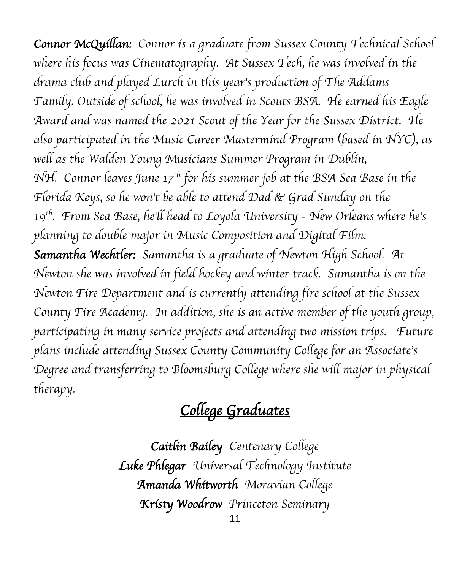*Connor McQuillan: Connor is a graduate from Sussex County Technical School where his focus was Cinematography. At Sussex Tech, he was involved in the drama club and played Lurch in this year's production of The Addams Family. Outside of school, he was involved in Scouts BSA. He earned his Eagle Award and was named the 2021 Scout of the Year for the Sussex District. He also participated in the Music Career Mastermind Program (based in NYC), as well as the Walden Young Musicians Summer Program in Dublin, NH. Connor leaves June 17th for his summer job at the BSA Sea Base in the Florida Keys, so he won't be able to attend Dad & Grad Sunday on the 19th . From Sea Base, he'll head to Loyola University - New Orleans where he's planning to double major in Music Composition and Digital Film. Samantha Wechtler: Samantha is a graduate of Newton High School. At Newton she was involved in field hockey and winter track. Samantha is on the Newton Fire Department and is currently attending fire school at the Sussex County Fire Academy. In addition, she is an active member of the youth group, participating in many service projects and attending two mission trips. Future plans include attending Sussex County Community College for an Associate's Degree and transferring to Bloomsburg College where she will major in physical therapy.*

# *College Graduates*

*Caitlin Bailey Centenary College Luke Phlegar Universal Technology Institute Amanda Whitworth Moravian College Kristy Woodrow Princeton Seminary*